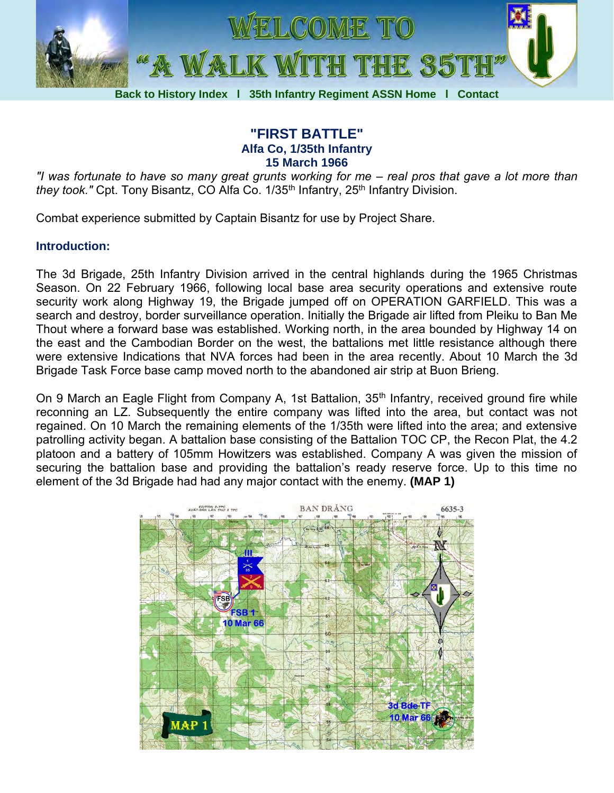

## **"FIRST BATTLE" Alfa Co, 1/35th Infantry 15 March 1966**

*"I was fortunate to have so many great grunts working for me – real pros that gave a lot more than they took.*" Cpt. Tony Bisantz, CO Alfa Co. 1/35<sup>th</sup> Infantry, 25<sup>th</sup> Infantry Division.

Combat experience submitted by Captain Bisantz for use by Project Share.

## **Introduction:**

The 3d Brigade, 25th Infantry Division arrived in the central highlands during the 1965 Christmas Season. On 22 February 1966, following local base area security operations and extensive route security work along Highway 19, the Brigade jumped off on OPERATION GARFIELD. This was a search and destroy, border surveillance operation. Initially the Brigade air lifted from Pleiku to Ban Me Thout where a forward base was established. Working north, in the area bounded by Highway 14 on the east and the Cambodian Border on the west, the battalions met little resistance although there were extensive Indications that NVA forces had been in the area recently. About 10 March the 3d Brigade Task Force base camp moved north to the abandoned air strip at Buon Brieng.

On 9 March an Eagle Flight from Company A, 1st Battalion, 35<sup>th</sup> Infantry, received ground fire while reconning an LZ. Subsequently the entire company was lifted into the area, but contact was not regained. On 10 March the remaining elements of the 1/35th were lifted into the area; and extensive patrolling activity began. A battalion base consisting of the Battalion TOC CP, the Recon Plat, the 4.2 platoon and a battery of 105mm Howitzers was established. Company A was given the mission of securing the battalion base and providing the battalion's ready reserve force. Up to this time no element of the 3d Brigade had had any major contact with the enemy. **(MAP 1)**

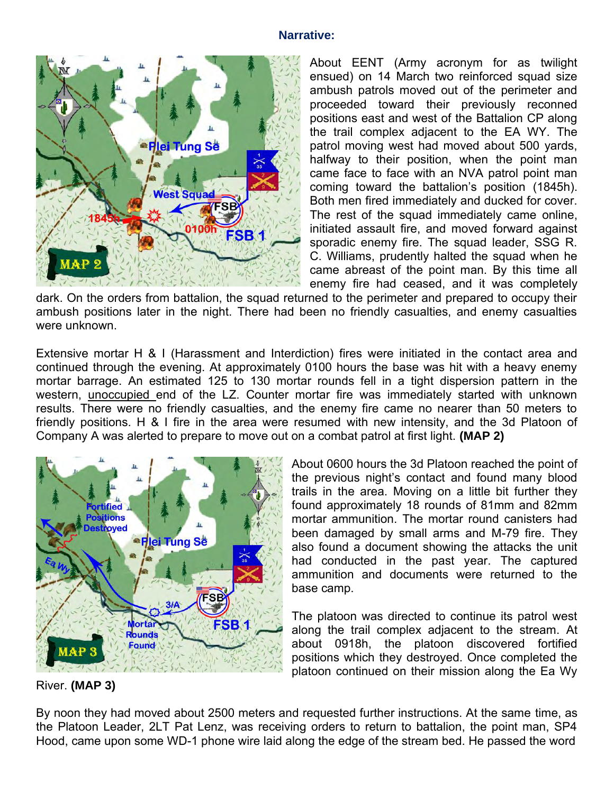## **Narrative:**



About EENT (Army acronym for as twilight ensued) on 14 March two reinforced squad size ambush patrols moved out of the perimeter and proceeded toward their previously reconned positions east and west of the Battalion CP along the trail complex adjacent to the EA WY. The patrol moving west had moved about 500 yards, halfway to their position, when the point man came face to face with an NVA patrol point man coming toward the battalion's position (1845h). Both men fired immediately and ducked for cover. The rest of the squad immediately came online, initiated assault fire, and moved forward against sporadic enemy fire. The squad leader, SSG R. C. Williams, prudently halted the squad when he came abreast of the point man. By this time all enemy fire had ceased, and it was completely

dark. On the orders from battalion, the squad returned to the perimeter and prepared to occupy their ambush positions later in the night. There had been no friendly casualties, and enemy casualties were unknown.

Extensive mortar H & I (Harassment and Interdiction) fires were initiated in the contact area and continued through the evening. At approximately 0100 hours the base was hit with a heavy enemy mortar barrage. An estimated 125 to 130 mortar rounds fell in a tight dispersion pattern in the western, unoccupied end of the LZ. Counter mortar fire was immediately started with unknown results. There were no friendly casualties, and the enemy fire came no nearer than 50 meters to friendly positions. H & I fire in the area were resumed with new intensity, and the 3d Platoon of Company A was alerted to prepare to move out on a combat patrol at first light. **(MAP 2)**



About 0600 hours the 3d Platoon reached the point of the previous night's contact and found many blood trails in the area. Moving on a little bit further they found approximately 18 rounds of 81mm and 82mm mortar ammunition. The mortar round canisters had been damaged by small arms and M-79 fire. They also found a document showing the attacks the unit had conducted in the past year. The captured ammunition and documents were returned to the base camp.

The platoon was directed to continue its patrol west along the trail complex adjacent to the stream. At about 0918h, the platoon discovered fortified positions which they destroyed. Once completed the platoon continued on their mission along the Ea Wy

River. **(MAP 3)**

By noon they had moved about 2500 meters and requested further instructions. At the same time, as the Platoon Leader, 2LT Pat Lenz, was receiving orders to return to battalion, the point man, SP4 Hood, came upon some WD-1 phone wire laid along the edge of the stream bed. He passed the word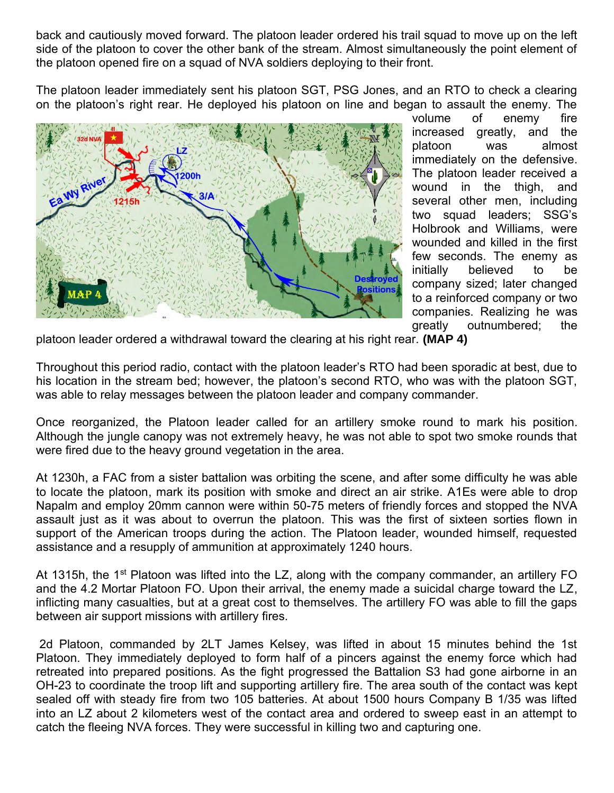back and cautiously moved forward. The platoon leader ordered his trail squad to move up on the left side of the platoon to cover the other bank of the stream. Almost simultaneously the point element of the platoon opened fire on a squad of NVA soldiers deploying to their front.

The platoon leader immediately sent his platoon SGT, PSG Jones, and an RTO to check a clearing on the platoon's right rear. He deployed his platoon on line and began to assault the enemy. The



volume of enemy fire increased greatly, and the platoon was almost immediately on the defensive. The platoon leader received a wound in the thigh, and several other men, including two squad leaders; SSG's Holbrook and Williams, were wounded and killed in the first few seconds. The enemy as initially believed to be company sized; later changed to a reinforced company or two companies. Realizing he was greatly outnumbered; the

platoon leader ordered a withdrawal toward the clearing at his right rear. **(MAP 4)**

Throughout this period radio, contact with the platoon leader's RTO had been sporadic at best, due to his location in the stream bed; however, the platoon's second RTO, who was with the platoon SGT, was able to relay messages between the platoon leader and company commander.

Once reorganized, the Platoon leader called for an artillery smoke round to mark his position. Although the jungle canopy was not extremely heavy, he was not able to spot two smoke rounds that were fired due to the heavy ground vegetation in the area.

At 1230h, a FAC from a sister battalion was orbiting the scene, and after some difficulty he was able to locate the platoon, mark its position with smoke and direct an air strike. A1Es were able to drop Napalm and employ 20mm cannon were within 50-75 meters of friendly forces and stopped the NVA assault just as it was about to overrun the platoon. This was the first of sixteen sorties flown in support of the American troops during the action. The Platoon leader, wounded himself, requested assistance and a resupply of ammunition at approximately 1240 hours.

At 1315h, the 1<sup>st</sup> Platoon was lifted into the LZ, along with the company commander, an artillery FO and the 4.2 Mortar Platoon FO. Upon their arrival, the enemy made a suicidal charge toward the LZ, inflicting many casualties, but at a great cost to themselves. The artillery FO was able to fill the gaps between air support missions with artillery fires.

2d Platoon, commanded by 2LT James Kelsey, was lifted in about 15 minutes behind the 1st Platoon. They immediately deployed to form half of a pincers against the enemy force which had retreated into prepared positions. As the fight progressed the Battalion S3 had gone airborne in an OH-23 to coordinate the troop lift and supporting artillery fire. The area south of the contact was kept sealed off with steady fire from two 105 batteries. At about 1500 hours Company B 1/35 was lifted into an LZ about 2 kilometers west of the contact area and ordered to sweep east in an attempt to catch the fleeing NVA forces. They were successful in killing two and capturing one.